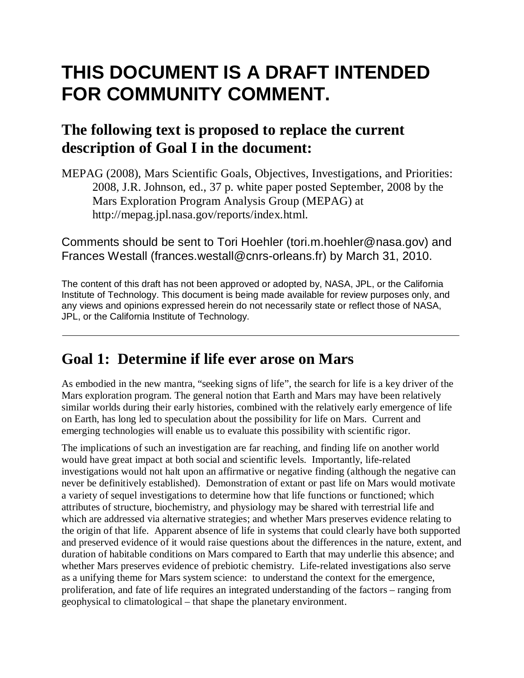# **THIS DOCUMENT IS A DRAFT INTENDED FOR COMMUNITY COMMENT.**

# **The following text is proposed to replace the current description of Goal I in the document:**

MEPAG (2008), Mars Scientific Goals, Objectives, Investigations, and Priorities: 2008, J.R. Johnson, ed., 37 p. white paper posted September, 2008 by the Mars Exploration Program Analysis Group (MEPAG) at http://mepag.jpl.nasa.gov/reports/index.html.

Comments should be sent to Tori Hoehler (tori.m.hoehler@nasa.gov) and Frances Westall (frances.westall@cnrs-orleans.fr) by March 31, 2010.

The content of this draft has not been approved or adopted by, NASA, JPL, or the California Institute of Technology. This document is being made available for review purposes only, and any views and opinions expressed herein do not necessarily state or reflect those of NASA, JPL, or the California Institute of Technology.

# **Goal 1: Determine if life ever arose on Mars**

As embodied in the new mantra, "seeking signs of life", the search for life is a key driver of the Mars exploration program. The general notion that Earth and Mars may have been relatively similar worlds during their early histories, combined with the relatively early emergence of life on Earth, has long led to speculation about the possibility for life on Mars. Current and emerging technologies will enable us to evaluate this possibility with scientific rigor.

The implications of such an investigation are far reaching, and finding life on another world would have great impact at both social and scientific levels. Importantly, life-related investigations would not halt upon an affirmative or negative finding (although the negative can never be definitively established). Demonstration of extant or past life on Mars would motivate a variety of sequel investigations to determine how that life functions or functioned; which attributes of structure, biochemistry, and physiology may be shared with terrestrial life and which are addressed via alternative strategies; and whether Mars preserves evidence relating to the origin of that life. Apparent absence of life in systems that could clearly have both supported and preserved evidence of it would raise questions about the differences in the nature, extent, and duration of habitable conditions on Mars compared to Earth that may underlie this absence; and whether Mars preserves evidence of prebiotic chemistry. Life-related investigations also serve as a unifying theme for Mars system science: to understand the context for the emergence, proliferation, and fate of life requires an integrated understanding of the factors – ranging from geophysical to climatological – that shape the planetary environment.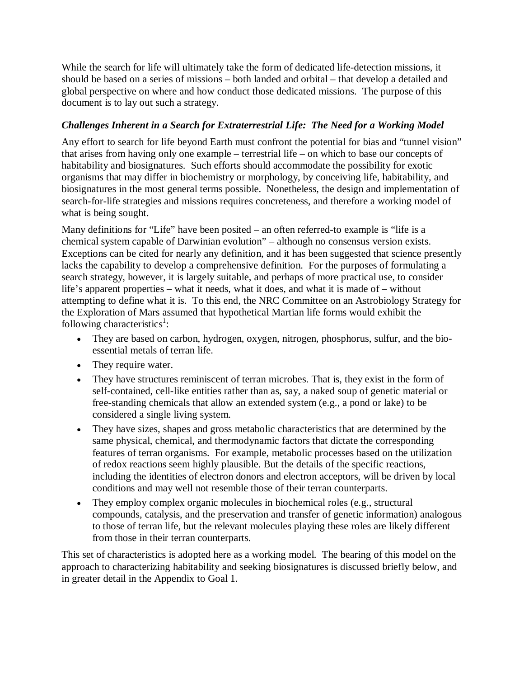While the search for life will ultimately take the form of dedicated life-detection missions, it should be based on a series of missions – both landed and orbital – that develop a detailed and global perspective on where and how conduct those dedicated missions. The purpose of this document is to lay out such a strategy.

#### *Challenges Inherent in a Search for Extraterrestrial Life: The Need for a Working Model*

Any effort to search for life beyond Earth must confront the potential for bias and "tunnel vision" that arises from having only one example – terrestrial life – on which to base our concepts of habitability and biosignatures. Such efforts should accommodate the possibility for exotic organisms that may differ in biochemistry or morphology, by conceiving life, habitability, and biosignatures in the most general terms possible. Nonetheless, the design and implementation of search-for-life strategies and missions requires concreteness, and therefore a working model of what is being sought.

Many definitions for "Life" have been posited – an often referred-to example is "life is a chemical system capable of Darwinian evolution" – although no consensus version exists. Exceptions can be cited for nearly any definition, and it has been suggested that science presently lacks the capability to develop a comprehensive definition. For the purposes of formulating a search strategy, however, it is largely suitable, and perhaps of more practical use, to consider life's apparent properties – what it needs, what it does, and what it is made of – without attempting to define what it is. To this end, the NRC Committee on an Astrobiology Strategy for the Exploration of Mars assumed that hypothetical Martian life forms would exhibit the following characteristics<sup>1</sup>:

- They are based on carbon, hydrogen, oxygen, nitrogen, phosphorus, sulfur, and the bioessential metals of terran life.
- They require water.
- They have structures reminiscent of terran microbes. That is, they exist in the form of self-contained, cell-like entities rather than as, say, a naked soup of genetic material or free-standing chemicals that allow an extended system (e.g., a pond or lake) to be considered a single living system.
- They have sizes, shapes and gross metabolic characteristics that are determined by the same physical, chemical, and thermodynamic factors that dictate the corresponding features of terran organisms. For example, metabolic processes based on the utilization of redox reactions seem highly plausible. But the details of the specific reactions, including the identities of electron donors and electron acceptors, will be driven by local conditions and may well not resemble those of their terran counterparts.
- They employ complex organic molecules in biochemical roles (e.g., structural compounds, catalysis, and the preservation and transfer of genetic information) analogous to those of terran life, but the relevant molecules playing these roles are likely different from those in their terran counterparts.

This set of characteristics is adopted here as a working model. The bearing of this model on the approach to characterizing habitability and seeking biosignatures is discussed briefly below, and in greater detail in the Appendix to Goal 1.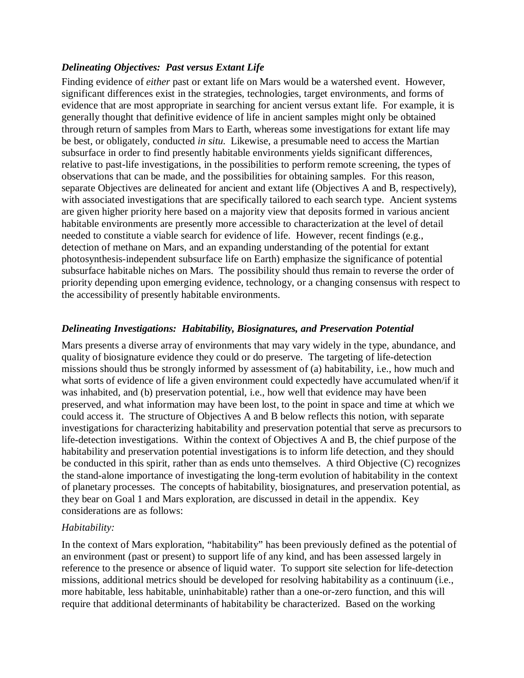#### *Delineating Objectives: Past versus Extant Life*

Finding evidence of *either* past or extant life on Mars would be a watershed event. However, significant differences exist in the strategies, technologies, target environments, and forms of evidence that are most appropriate in searching for ancient versus extant life. For example, it is generally thought that definitive evidence of life in ancient samples might only be obtained through return of samples from Mars to Earth, whereas some investigations for extant life may be best, or obligately, conducted *in situ*. Likewise, a presumable need to access the Martian subsurface in order to find presently habitable environments yields significant differences, relative to past-life investigations, in the possibilities to perform remote screening, the types of observations that can be made, and the possibilities for obtaining samples. For this reason, separate Objectives are delineated for ancient and extant life (Objectives A and B, respectively), with associated investigations that are specifically tailored to each search type. Ancient systems are given higher priority here based on a majority view that deposits formed in various ancient habitable environments are presently more accessible to characterization at the level of detail needed to constitute a viable search for evidence of life. However, recent findings (e.g., detection of methane on Mars, and an expanding understanding of the potential for extant photosynthesis-independent subsurface life on Earth) emphasize the significance of potential subsurface habitable niches on Mars. The possibility should thus remain to reverse the order of priority depending upon emerging evidence, technology, or a changing consensus with respect to the accessibility of presently habitable environments.

#### *Delineating Investigations: Habitability, Biosignatures, and Preservation Potential*

Mars presents a diverse array of environments that may vary widely in the type, abundance, and quality of biosignature evidence they could or do preserve. The targeting of life-detection missions should thus be strongly informed by assessment of (a) habitability, i.e., how much and what sorts of evidence of life a given environment could expectedly have accumulated when/if it was inhabited, and (b) preservation potential, i.e., how well that evidence may have been preserved, and what information may have been lost, to the point in space and time at which we could access it. The structure of Objectives A and B below reflects this notion, with separate investigations for characterizing habitability and preservation potential that serve as precursors to life-detection investigations. Within the context of Objectives A and B, the chief purpose of the habitability and preservation potential investigations is to inform life detection, and they should be conducted in this spirit, rather than as ends unto themselves. A third Objective (C) recognizes the stand-alone importance of investigating the long-term evolution of habitability in the context of planetary processes. The concepts of habitability, biosignatures, and preservation potential, as they bear on Goal 1 and Mars exploration, are discussed in detail in the appendix. Key considerations are as follows:

#### *Habitability:*

In the context of Mars exploration, "habitability" has been previously defined as the potential of an environment (past or present) to support life of any kind, and has been assessed largely in reference to the presence or absence of liquid water. To support site selection for life-detection missions, additional metrics should be developed for resolving habitability as a continuum (i.e., more habitable, less habitable, uninhabitable) rather than a one-or-zero function, and this will require that additional determinants of habitability be characterized. Based on the working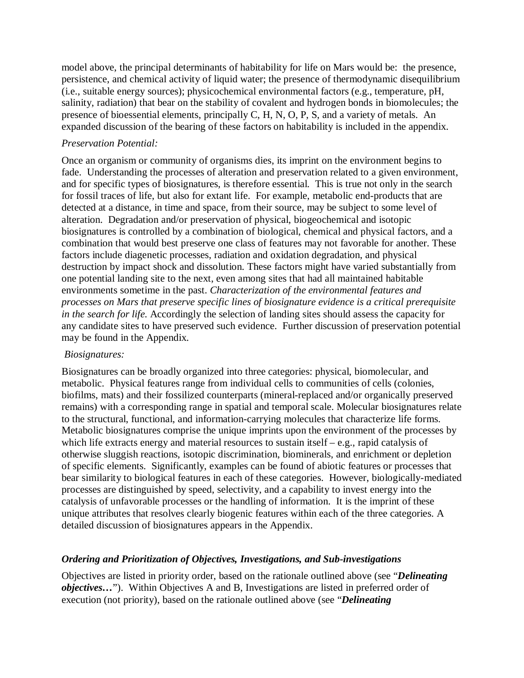model above, the principal determinants of habitability for life on Mars would be: the presence, persistence, and chemical activity of liquid water; the presence of thermodynamic disequilibrium (i.e., suitable energy sources); physicochemical environmental factors (e.g., temperature, pH, salinity, radiation) that bear on the stability of covalent and hydrogen bonds in biomolecules; the presence of bioessential elements, principally C, H, N, O, P, S, and a variety of metals. An expanded discussion of the bearing of these factors on habitability is included in the appendix.

#### *Preservation Potential:*

Once an organism or community of organisms dies, its imprint on the environment begins to fade. Understanding the processes of alteration and preservation related to a given environment, and for specific types of biosignatures, is therefore essential. This is true not only in the search for fossil traces of life, but also for extant life. For example, metabolic end-products that are detected at a distance, in time and space, from their source, may be subject to some level of alteration. Degradation and/or preservation of physical, biogeochemical and isotopic biosignatures is controlled by a combination of biological, chemical and physical factors, and a combination that would best preserve one class of features may not favorable for another. These factors include diagenetic processes, radiation and oxidation degradation, and physical destruction by impact shock and dissolution. These factors might have varied substantially from one potential landing site to the next, even among sites that had all maintained habitable environments sometime in the past. *Characterization of the environmental features and processes on Mars that preserve specific lines of biosignature evidence is a critical prerequisite in the search for life.* Accordingly the selection of landing sites should assess the capacity for any candidate sites to have preserved such evidence. Further discussion of preservation potential may be found in the Appendix.

#### *Biosignatures:*

Biosignatures can be broadly organized into three categories: physical, biomolecular, and metabolic. Physical features range from individual cells to communities of cells (colonies, biofilms, mats) and their fossilized counterparts (mineral-replaced and/or organically preserved remains) with a corresponding range in spatial and temporal scale. Molecular biosignatures relate to the structural, functional, and information-carrying molecules that characterize life forms. Metabolic biosignatures comprise the unique imprints upon the environment of the processes by which life extracts energy and material resources to sustain itself – e.g., rapid catalysis of otherwise sluggish reactions, isotopic discrimination, biominerals, and enrichment or depletion of specific elements. Significantly, examples can be found of abiotic features or processes that bear similarity to biological features in each of these categories. However, biologically-mediated processes are distinguished by speed, selectivity, and a capability to invest energy into the catalysis of unfavorable processes or the handling of information. It is the imprint of these unique attributes that resolves clearly biogenic features within each of the three categories. A detailed discussion of biosignatures appears in the Appendix.

#### *Ordering and Prioritization of Objectives, Investigations, and Sub-investigations*

Objectives are listed in priority order, based on the rationale outlined above (see "*Delineating objectives…*"). Within Objectives A and B, Investigations are listed in preferred order of execution (not priority), based on the rationale outlined above (see "*Delineating*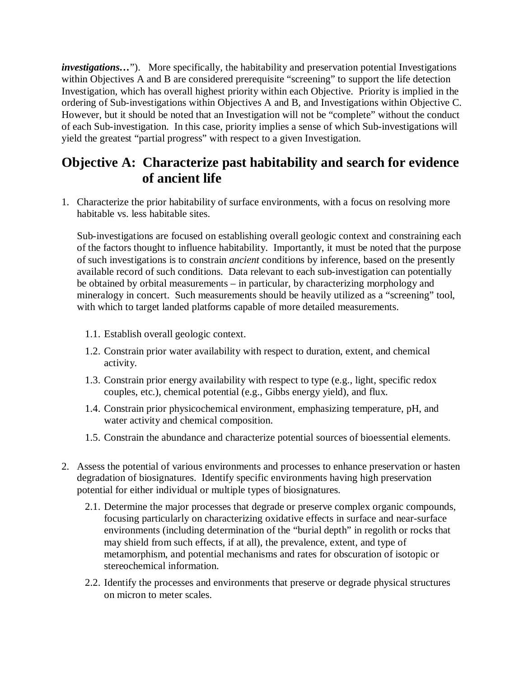*investigations…*"). More specifically, the habitability and preservation potential Investigations within Objectives A and B are considered prerequisite "screening" to support the life detection Investigation, which has overall highest priority within each Objective. Priority is implied in the ordering of Sub-investigations within Objectives A and B, and Investigations within Objective C. However, but it should be noted that an Investigation will not be "complete" without the conduct of each Sub-investigation. In this case, priority implies a sense of which Sub-investigations will yield the greatest "partial progress" with respect to a given Investigation.

### **Objective A: Characterize past habitability and search for evidence of ancient life**

1. Characterize the prior habitability of surface environments, with a focus on resolving more habitable vs. less habitable sites.

Sub-investigations are focused on establishing overall geologic context and constraining each of the factors thought to influence habitability. Importantly, it must be noted that the purpose of such investigations is to constrain *ancient* conditions by inference, based on the presently available record of such conditions. Data relevant to each sub-investigation can potentially be obtained by orbital measurements – in particular, by characterizing morphology and mineralogy in concert. Such measurements should be heavily utilized as a "screening" tool, with which to target landed platforms capable of more detailed measurements.

- 1.1. Establish overall geologic context.
- 1.2. Constrain prior water availability with respect to duration, extent, and chemical activity.
- 1.3. Constrain prior energy availability with respect to type (e.g., light, specific redox couples, etc.), chemical potential (e.g., Gibbs energy yield), and flux.
- 1.4. Constrain prior physicochemical environment, emphasizing temperature, pH, and water activity and chemical composition.
- 1.5. Constrain the abundance and characterize potential sources of bioessential elements.
- 2. Assess the potential of various environments and processes to enhance preservation or hasten degradation of biosignatures. Identify specific environments having high preservation potential for either individual or multiple types of biosignatures.
	- 2.1. Determine the major processes that degrade or preserve complex organic compounds, focusing particularly on characterizing oxidative effects in surface and near-surface environments (including determination of the "burial depth" in regolith or rocks that may shield from such effects, if at all), the prevalence, extent, and type of metamorphism, and potential mechanisms and rates for obscuration of isotopic or stereochemical information.
	- 2.2. Identify the processes and environments that preserve or degrade physical structures on micron to meter scales.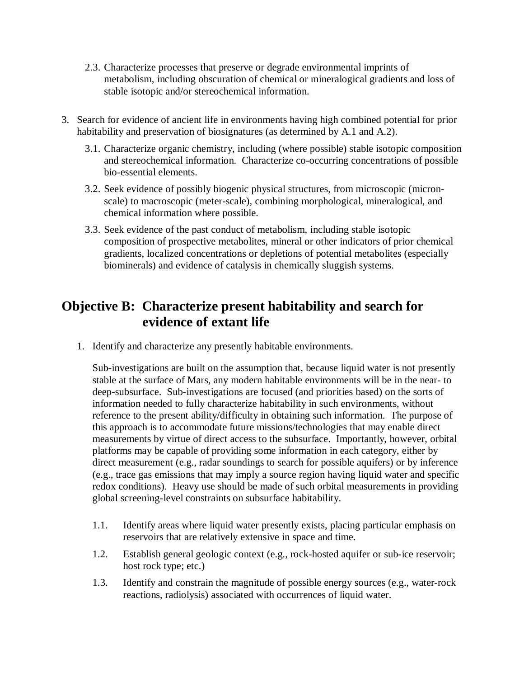- 2.3. Characterize processes that preserve or degrade environmental imprints of metabolism, including obscuration of chemical or mineralogical gradients and loss of stable isotopic and/or stereochemical information.
- 3. Search for evidence of ancient life in environments having high combined potential for prior habitability and preservation of biosignatures (as determined by A.1 and A.2).
	- 3.1. Characterize organic chemistry, including (where possible) stable isotopic composition and stereochemical information. Characterize co-occurring concentrations of possible bio-essential elements.
	- 3.2. Seek evidence of possibly biogenic physical structures, from microscopic (micronscale) to macroscopic (meter-scale), combining morphological, mineralogical, and chemical information where possible.
	- 3.3. Seek evidence of the past conduct of metabolism, including stable isotopic composition of prospective metabolites, mineral or other indicators of prior chemical gradients, localized concentrations or depletions of potential metabolites (especially biominerals) and evidence of catalysis in chemically sluggish systems.

### **Objective B: Characterize present habitability and search for evidence of extant life**

1. Identify and characterize any presently habitable environments.

Sub-investigations are built on the assumption that, because liquid water is not presently stable at the surface of Mars, any modern habitable environments will be in the near- to deep-subsurface. Sub-investigations are focused (and priorities based) on the sorts of information needed to fully characterize habitability in such environments, without reference to the present ability/difficulty in obtaining such information. The purpose of this approach is to accommodate future missions/technologies that may enable direct measurements by virtue of direct access to the subsurface. Importantly, however, orbital platforms may be capable of providing some information in each category, either by direct measurement (e.g., radar soundings to search for possible aquifers) or by inference (e.g., trace gas emissions that may imply a source region having liquid water and specific redox conditions). Heavy use should be made of such orbital measurements in providing global screening-level constraints on subsurface habitability.

- 1.1. Identify areas where liquid water presently exists, placing particular emphasis on reservoirs that are relatively extensive in space and time.
- 1.2. Establish general geologic context (e.g., rock-hosted aquifer or sub-ice reservoir; host rock type; etc.)
- 1.3. Identify and constrain the magnitude of possible energy sources (e.g., water-rock reactions, radiolysis) associated with occurrences of liquid water.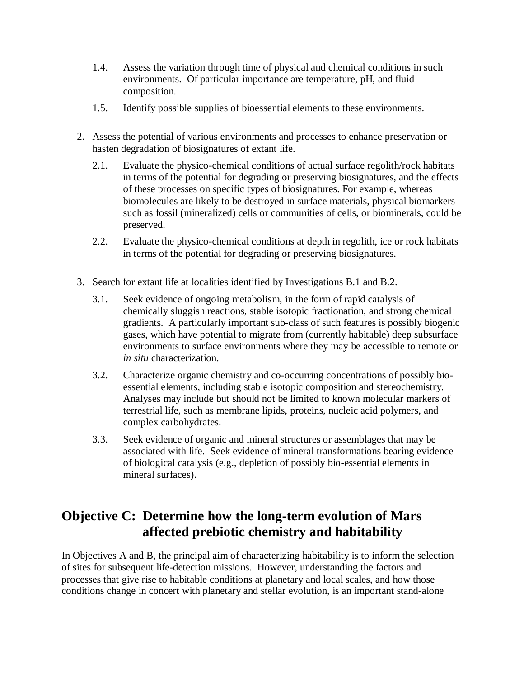- 1.4. Assess the variation through time of physical and chemical conditions in such environments. Of particular importance are temperature, pH, and fluid composition.
- 1.5. Identify possible supplies of bioessential elements to these environments.
- 2. Assess the potential of various environments and processes to enhance preservation or hasten degradation of biosignatures of extant life.
	- 2.1. Evaluate the physico-chemical conditions of actual surface regolith/rock habitats in terms of the potential for degrading or preserving biosignatures, and the effects of these processes on specific types of biosignatures. For example, whereas biomolecules are likely to be destroyed in surface materials, physical biomarkers such as fossil (mineralized) cells or communities of cells, or biominerals, could be preserved.
	- 2.2. Evaluate the physico-chemical conditions at depth in regolith, ice or rock habitats in terms of the potential for degrading or preserving biosignatures.
- 3. Search for extant life at localities identified by Investigations B.1 and B.2.
	- 3.1. Seek evidence of ongoing metabolism, in the form of rapid catalysis of chemically sluggish reactions, stable isotopic fractionation, and strong chemical gradients. A particularly important sub-class of such features is possibly biogenic gases, which have potential to migrate from (currently habitable) deep subsurface environments to surface environments where they may be accessible to remote or *in situ* characterization.
	- 3.2. Characterize organic chemistry and co-occurring concentrations of possibly bioessential elements, including stable isotopic composition and stereochemistry. Analyses may include but should not be limited to known molecular markers of terrestrial life, such as membrane lipids, proteins, nucleic acid polymers, and complex carbohydrates.
	- 3.3. Seek evidence of organic and mineral structures or assemblages that may be associated with life. Seek evidence of mineral transformations bearing evidence of biological catalysis (e.g., depletion of possibly bio-essential elements in mineral surfaces).

# **Objective C: Determine how the long-term evolution of Mars affected prebiotic chemistry and habitability**

In Objectives A and B, the principal aim of characterizing habitability is to inform the selection of sites for subsequent life-detection missions. However, understanding the factors and processes that give rise to habitable conditions at planetary and local scales, and how those conditions change in concert with planetary and stellar evolution, is an important stand-alone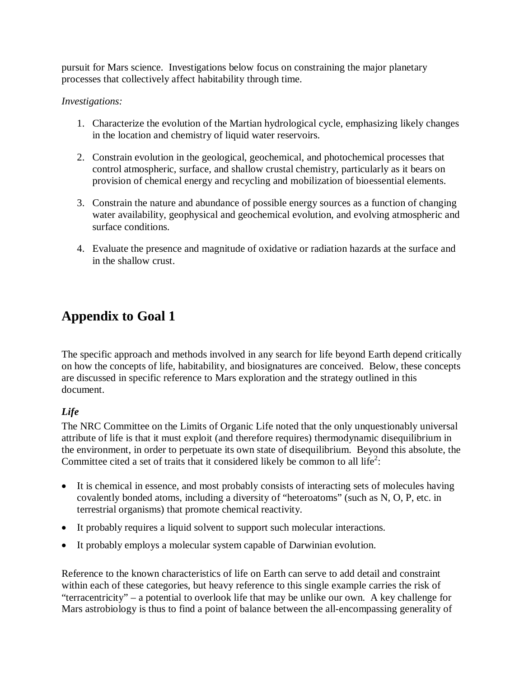pursuit for Mars science. Investigations below focus on constraining the major planetary processes that collectively affect habitability through time.

#### *Investigations:*

- 1. Characterize the evolution of the Martian hydrological cycle, emphasizing likely changes in the location and chemistry of liquid water reservoirs.
- 2. Constrain evolution in the geological, geochemical, and photochemical processes that control atmospheric, surface, and shallow crustal chemistry, particularly as it bears on provision of chemical energy and recycling and mobilization of bioessential elements.
- 3. Constrain the nature and abundance of possible energy sources as a function of changing water availability, geophysical and geochemical evolution, and evolving atmospheric and surface conditions.
- 4. Evaluate the presence and magnitude of oxidative or radiation hazards at the surface and in the shallow crust.

# **Appendix to Goal 1**

The specific approach and methods involved in any search for life beyond Earth depend critically on how the concepts of life, habitability, and biosignatures are conceived. Below, these concepts are discussed in specific reference to Mars exploration and the strategy outlined in this document.

#### *Life*

The NRC Committee on the Limits of Organic Life noted that the only unquestionably universal attribute of life is that it must exploit (and therefore requires) thermodynamic disequilibrium in the environment, in order to perpetuate its own state of disequilibrium. Beyond this absolute, the Committee cited a set of traits that it considered likely be common to all life<sup>2</sup>:

- It is chemical in essence, and most probably consists of interacting sets of molecules having covalently bonded atoms, including a diversity of "heteroatoms" (such as N, O, P, etc. in terrestrial organisms) that promote chemical reactivity.
- It probably requires a liquid solvent to support such molecular interactions.
- It probably employs a molecular system capable of Darwinian evolution.

Reference to the known characteristics of life on Earth can serve to add detail and constraint within each of these categories, but heavy reference to this single example carries the risk of "terracentricity" – a potential to overlook life that may be unlike our own. A key challenge for Mars astrobiology is thus to find a point of balance between the all-encompassing generality of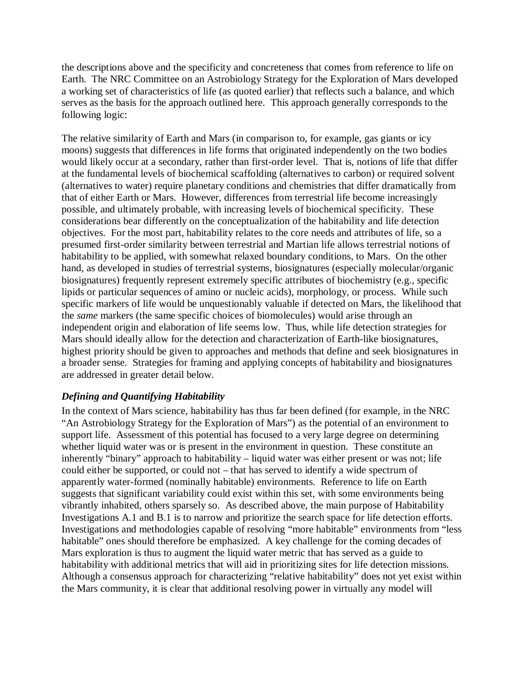the descriptions above and the specificity and concreteness that comes from reference to life on Earth. The NRC Committee on an Astrobiology Strategy for the Exploration of Mars developed a working set of characteristics of life (as quoted earlier) that reflects such a balance, and which serves as the basis for the approach outlined here. This approach generally corresponds to the following logic:

The relative similarity of Earth and Mars (in comparison to, for example, gas giants or icy moons) suggests that differences in life forms that originated independently on the two bodies would likely occur at a secondary, rather than first-order level. That is, notions of life that differ at the fundamental levels of biochemical scaffolding (alternatives to carbon) or required solvent (alternatives to water) require planetary conditions and chemistries that differ dramatically from that of either Earth or Mars. However, differences from terrestrial life become increasingly possible, and ultimately probable, with increasing levels of biochemical specificity. These considerations bear differently on the conceptualization of the habitability and life detection objectives. For the most part, habitability relates to the core needs and attributes of life, so a presumed first-order similarity between terrestrial and Martian life allows terrestrial notions of habitability to be applied, with somewhat relaxed boundary conditions, to Mars. On the other hand, as developed in studies of terrestrial systems, biosignatures (especially molecular/organic biosignatures) frequently represent extremely specific attributes of biochemistry (e.g., specific lipids or particular sequences of amino or nucleic acids), morphology, or process. While such specific markers of life would be unquestionably valuable if detected on Mars, the likelihood that the *same* markers (the same specific choices of biomolecules) would arise through an independent origin and elaboration of life seems low. Thus, while life detection strategies for Mars should ideally allow for the detection and characterization of Earth-like biosignatures, highest priority should be given to approaches and methods that define and seek biosignatures in a broader sense. Strategies for framing and applying concepts of habitability and biosignatures are addressed in greater detail below.

#### *Defining and Quantifying Habitability*

In the context of Mars science, habitability has thus far been defined (for example, in the NRC "An Astrobiology Strategy for the Exploration of Mars") as the potential of an environment to support life. Assessment of this potential has focused to a very large degree on determining whether liquid water was or is present in the environment in question. These constitute an inherently "binary" approach to habitability – liquid water was either present or was not; life could either be supported, or could not – that has served to identify a wide spectrum of apparently water-formed (nominally habitable) environments. Reference to life on Earth suggests that significant variability could exist within this set, with some environments being vibrantly inhabited, others sparsely so. As described above, the main purpose of Habitability Investigations A.1 and B.1 is to narrow and prioritize the search space for life detection efforts. Investigations and methodologies capable of resolving "more habitable" environments from "less habitable" ones should therefore be emphasized. A key challenge for the coming decades of Mars exploration is thus to augment the liquid water metric that has served as a guide to habitability with additional metrics that will aid in prioritizing sites for life detection missions. Although a consensus approach for characterizing "relative habitability" does not yet exist within the Mars community, it is clear that additional resolving power in virtually any model will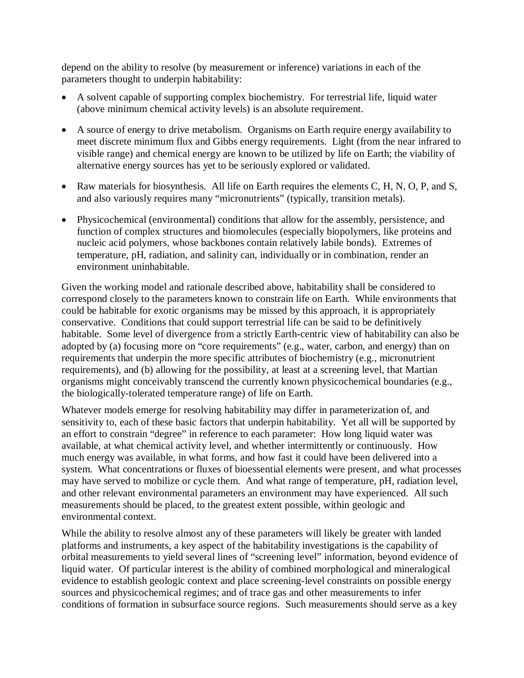depend on the ability to resolve (by measurement or inference) variations in each of the parameters thought to underpin habitability:

- A solvent capable of supporting complex biochemistry. For terrestrial life, liquid water (above minimum chemical activity levels) is an absolute requirement.
- A source of energy to drive metabolism. Organisms on Earth require energy availability to meet discrete minimum flux and Gibbs energy requirements. Light (from the near infrared to visible range) and chemical energy are known to be utilized by life on Earth; the viability of alternative energy sources has yet to be seriously explored or validated.
- Raw materials for biosynthesis. All life on Earth requires the elements C, H, N, O, P, and S, and also variously requires many "micronutrients" (typically, transition metals).
- Physicochemical (environmental) conditions that allow for the assembly, persistence, and function of complex structures and biomolecules (especially biopolymers, like proteins and nucleic acid polymers, whose backbones contain relatively labile bonds). Extremes of temperature, pH, radiation, and salinity can, individually or in combination, render an environment uninhabitable.

Given the working model and rationale described above, habitability shall be considered to correspond closely to the parameters known to constrain life on Earth. While environments that could be habitable for exotic organisms may be missed by this approach, it is appropriately conservative. Conditions that could support terrestrial life can be said to be definitively habitable. Some level of divergence from a strictly Earth-centric view of habitability can also be adopted by (a) focusing more on "core requirements" (e.g., water, carbon, and energy) than on requirements that underpin the more specific attributes of biochemistry (e.g., micronutrient requirements), and (b) allowing for the possibility, at least at a screening level, that Martian organisms might conceivably transcend the currently known physicochemical boundaries (e.g., the biologically-tolerated temperature range) of life on Earth.

Whatever models emerge for resolving habitability may differ in parameterization of, and sensitivity to, each of these basic factors that underpin habitability. Yet all will be supported by an effort to constrain "degree" in reference to each parameter: How long liquid water was available, at what chemical activity level, and whether intermittently or continuously. How much energy was available, in what forms, and how fast it could have been delivered into a system. What concentrations or fluxes of bioessential elements were present, and what processes may have served to mobilize or cycle them. And what range of temperature, pH, radiation level, and other relevant environmental parameters an environment may have experienced. All such measurements should be placed, to the greatest extent possible, within geologic and environmental context.

While the ability to resolve almost any of these parameters will likely be greater with landed platforms and instruments, a key aspect of the habitability investigations is the capability of orbital measurements to yield several lines of "screening level" information, beyond evidence of liquid water. Of particular interest is the ability of combined morphological and mineralogical evidence to establish geologic context and place screening-level constraints on possible energy sources and physicochemical regimes; and of trace gas and other measurements to infer conditions of formation in subsurface source regions. Such measurements should serve as a key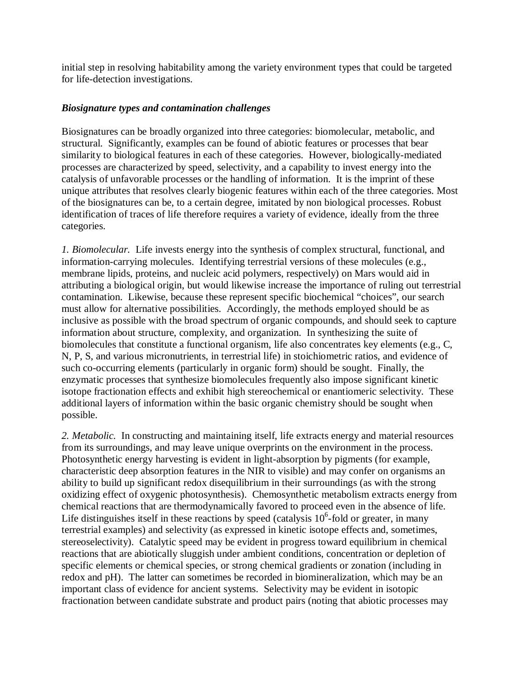initial step in resolving habitability among the variety environment types that could be targeted for life-detection investigations.

#### *Biosignature types and contamination challenges*

Biosignatures can be broadly organized into three categories: biomolecular, metabolic, and structural. Significantly, examples can be found of abiotic features or processes that bear similarity to biological features in each of these categories. However, biologically-mediated processes are characterized by speed, selectivity, and a capability to invest energy into the catalysis of unfavorable processes or the handling of information. It is the imprint of these unique attributes that resolves clearly biogenic features within each of the three categories. Most of the biosignatures can be, to a certain degree, imitated by non biological processes. Robust identification of traces of life therefore requires a variety of evidence, ideally from the three categories.

*1. Biomolecular.* Life invests energy into the synthesis of complex structural, functional, and information-carrying molecules. Identifying terrestrial versions of these molecules (e.g., membrane lipids, proteins, and nucleic acid polymers, respectively) on Mars would aid in attributing a biological origin, but would likewise increase the importance of ruling out terrestrial contamination. Likewise, because these represent specific biochemical "choices", our search must allow for alternative possibilities. Accordingly, the methods employed should be as inclusive as possible with the broad spectrum of organic compounds, and should seek to capture information about structure, complexity, and organization. In synthesizing the suite of biomolecules that constitute a functional organism, life also concentrates key elements (e.g., C, N, P, S, and various micronutrients, in terrestrial life) in stoichiometric ratios, and evidence of such co-occurring elements (particularly in organic form) should be sought. Finally, the enzymatic processes that synthesize biomolecules frequently also impose significant kinetic isotope fractionation effects and exhibit high stereochemical or enantiomeric selectivity. These additional layers of information within the basic organic chemistry should be sought when possible.

*2. Metabolic.* In constructing and maintaining itself, life extracts energy and material resources from its surroundings, and may leave unique overprints on the environment in the process. Photosynthetic energy harvesting is evident in light-absorption by pigments (for example, characteristic deep absorption features in the NIR to visible) and may confer on organisms an ability to build up significant redox disequilibrium in their surroundings (as with the strong oxidizing effect of oxygenic photosynthesis). Chemosynthetic metabolism extracts energy from chemical reactions that are thermodynamically favored to proceed even in the absence of life. Life distinguishes itself in these reactions by speed (catalysis  $10<sup>6</sup>$ -fold or greater, in many terrestrial examples) and selectivity (as expressed in kinetic isotope effects and, sometimes, stereoselectivity). Catalytic speed may be evident in progress toward equilibrium in chemical reactions that are abiotically sluggish under ambient conditions, concentration or depletion of specific elements or chemical species, or strong chemical gradients or zonation (including in redox and pH). The latter can sometimes be recorded in biomineralization, which may be an important class of evidence for ancient systems. Selectivity may be evident in isotopic fractionation between candidate substrate and product pairs (noting that abiotic processes may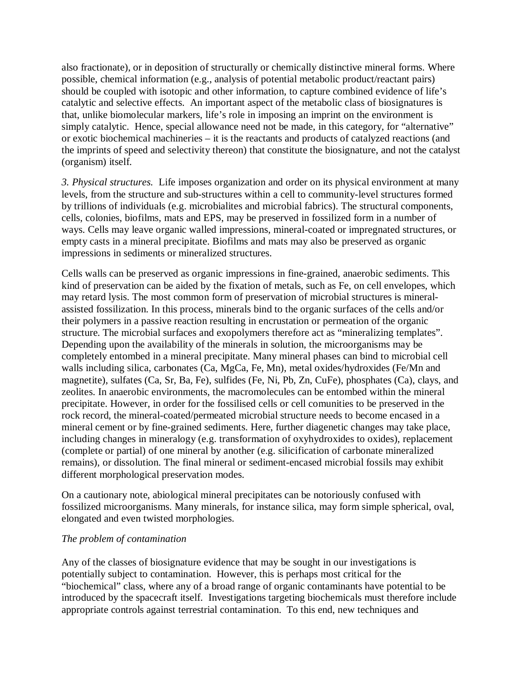also fractionate), or in deposition of structurally or chemically distinctive mineral forms. Where possible, chemical information (e.g., analysis of potential metabolic product/reactant pairs) should be coupled with isotopic and other information, to capture combined evidence of life's catalytic and selective effects. An important aspect of the metabolic class of biosignatures is that, unlike biomolecular markers, life's role in imposing an imprint on the environment is simply catalytic. Hence, special allowance need not be made, in this category, for "alternative" or exotic biochemical machineries – it is the reactants and products of catalyzed reactions (and the imprints of speed and selectivity thereon) that constitute the biosignature, and not the catalyst (organism) itself.

*3. Physical structures.* Life imposes organization and order on its physical environment at many levels, from the structure and sub-structures within a cell to community-level structures formed by trillions of individuals (e.g. microbialites and microbial fabrics). The structural components, cells, colonies, biofilms, mats and EPS, may be preserved in fossilized form in a number of ways. Cells may leave organic walled impressions, mineral-coated or impregnated structures, or empty casts in a mineral precipitate. Biofilms and mats may also be preserved as organic impressions in sediments or mineralized structures.

Cells walls can be preserved as organic impressions in fine-grained, anaerobic sediments. This kind of preservation can be aided by the fixation of metals, such as Fe, on cell envelopes, which may retard lysis. The most common form of preservation of microbial structures is mineralassisted fossilization. In this process, minerals bind to the organic surfaces of the cells and/or their polymers in a passive reaction resulting in encrustation or permeation of the organic structure. The microbial surfaces and exopolymers therefore act as "mineralizing templates". Depending upon the availability of the minerals in solution, the microorganisms may be completely entombed in a mineral precipitate. Many mineral phases can bind to microbial cell walls including silica, carbonates (Ca, MgCa, Fe, Mn), metal oxides/hydroxides (Fe/Mn and magnetite), sulfates (Ca, Sr, Ba, Fe), sulfides (Fe, Ni, Pb, Zn, CuFe), phosphates (Ca), clays, and zeolites. In anaerobic environments, the macromolecules can be entombed within the mineral precipitate. However, in order for the fossilised cells or cell comunities to be preserved in the rock record, the mineral-coated/permeated microbial structure needs to become encased in a mineral cement or by fine-grained sediments. Here, further diagenetic changes may take place, including changes in mineralogy (e.g. transformation of oxyhydroxides to oxides), replacement (complete or partial) of one mineral by another (e.g. silicification of carbonate mineralized remains), or dissolution. The final mineral or sediment-encased microbial fossils may exhibit different morphological preservation modes.

On a cautionary note, abiological mineral precipitates can be notoriously confused with fossilized microorganisms. Many minerals, for instance silica, may form simple spherical, oval, elongated and even twisted morphologies.

#### *The problem of contamination*

Any of the classes of biosignature evidence that may be sought in our investigations is potentially subject to contamination. However, this is perhaps most critical for the "biochemical" class, where any of a broad range of organic contaminants have potential to be introduced by the spacecraft itself. Investigations targeting biochemicals must therefore include appropriate controls against terrestrial contamination. To this end, new techniques and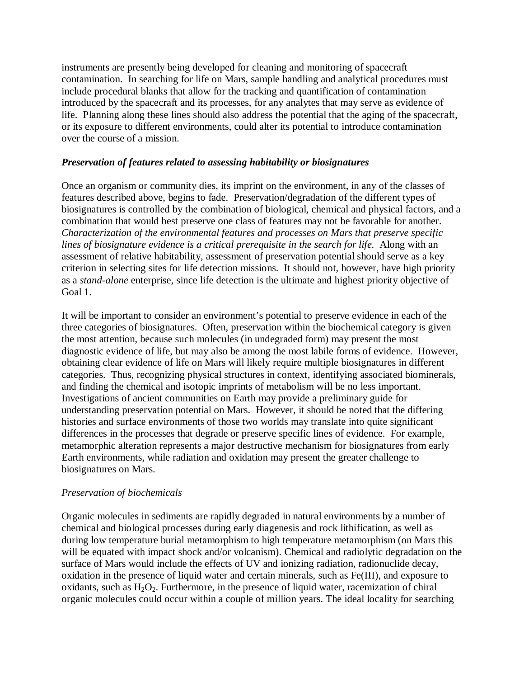instruments are presently being developed for cleaning and monitoring of spacecraft contamination. In searching for life on Mars, sample handling and analytical procedures must include procedural blanks that allow for the tracking and quantification of contamination introduced by the spacecraft and its processes, for any analytes that may serve as evidence of life. Planning along these lines should also address the potential that the aging of the spacecraft, or its exposure to different environments, could alter its potential to introduce contamination over the course of a mission.

#### *Preservation of features related to assessing habitability or biosignatures*

Once an organism or community dies, its imprint on the environment, in any of the classes of features described above, begins to fade. Preservation/degradation of the different types of biosignatures is controlled by the combination of biological, chemical and physical factors, and a combination that would best preserve one class of features may not be favorable for another. *Characterization of the environmental features and processes on Mars that preserve specific lines of biosignature evidence is a critical prerequisite in the search for life.* Along with an assessment of relative habitability, assessment of preservation potential should serve as a key criterion in selecting sites for life detection missions. It should not, however, have high priority as a *stand-alone* enterprise, since life detection is the ultimate and highest priority objective of Goal 1.

It will be important to consider an environment's potential to preserve evidence in each of the three categories of biosignatures. Often, preservation within the biochemical category is given the most attention, because such molecules (in undegraded form) may present the most diagnostic evidence of life, but may also be among the most labile forms of evidence. However, obtaining clear evidence of life on Mars will likely require multiple biosignatures in different categories. Thus, recognizing physical structures in context, identifying associated biominerals, and finding the chemical and isotopic imprints of metabolism will be no less important. Investigations of ancient communities on Earth may provide a preliminary guide for understanding preservation potential on Mars. However, it should be noted that the differing histories and surface environments of those two worlds may translate into quite significant differences in the processes that degrade or preserve specific lines of evidence. For example, metamorphic alteration represents a major destructive mechanism for biosignatures from early Earth environments, while radiation and oxidation may present the greater challenge to biosignatures on Mars.

#### *Preservation of biochemicals*

Organic molecules in sediments are rapidly degraded in natural environments by a number of chemical and biological processes during early diagenesis and rock lithification, as well as during low temperature burial metamorphism to high temperature metamorphism (on Mars this will be equated with impact shock and/or volcanism). Chemical and radiolytic degradation on the surface of Mars would include the effects of UV and ionizing radiation, radionuclide decay, oxidation in the presence of liquid water and certain minerals, such as Fe(III), and exposure to oxidants, such as  $H_2O_2$ . Furthermore, in the presence of liquid water, racemization of chiral organic molecules could occur within a couple of million years. The ideal locality for searching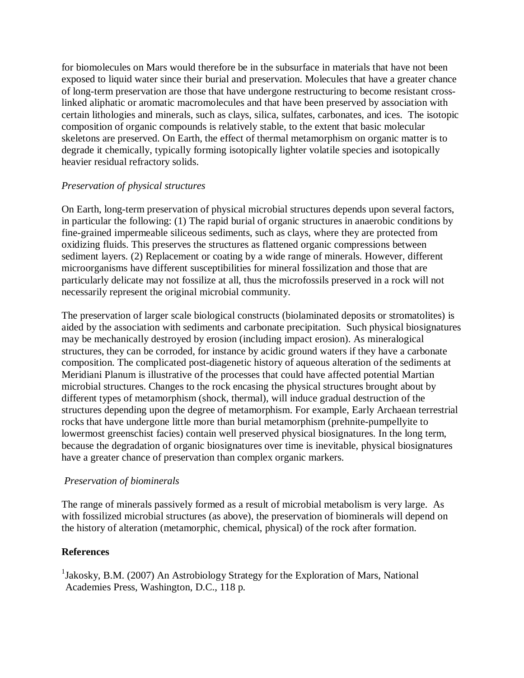for biomolecules on Mars would therefore be in the subsurface in materials that have not been exposed to liquid water since their burial and preservation. Molecules that have a greater chance of long-term preservation are those that have undergone restructuring to become resistant crosslinked aliphatic or aromatic macromolecules and that have been preserved by association with certain lithologies and minerals, such as clays, silica, sulfates, carbonates, and ices. The isotopic composition of organic compounds is relatively stable, to the extent that basic molecular skeletons are preserved. On Earth, the effect of thermal metamorphism on organic matter is to degrade it chemically, typically forming isotopically lighter volatile species and isotopically heavier residual refractory solids.

#### *Preservation of physical structures*

On Earth, long-term preservation of physical microbial structures depends upon several factors, in particular the following: (1) The rapid burial of organic structures in anaerobic conditions by fine-grained impermeable siliceous sediments, such as clays, where they are protected from oxidizing fluids. This preserves the structures as flattened organic compressions between sediment layers. (2) Replacement or coating by a wide range of minerals. However, different microorganisms have different susceptibilities for mineral fossilization and those that are particularly delicate may not fossilize at all, thus the microfossils preserved in a rock will not necessarily represent the original microbial community.

The preservation of larger scale biological constructs (biolaminated deposits or stromatolites) is aided by the association with sediments and carbonate precipitation. Such physical biosignatures may be mechanically destroyed by erosion (including impact erosion). As mineralogical structures, they can be corroded, for instance by acidic ground waters if they have a carbonate composition. The complicated post-diagenetic history of aqueous alteration of the sediments at Meridiani Planum is illustrative of the processes that could have affected potential Martian microbial structures. Changes to the rock encasing the physical structures brought about by different types of metamorphism (shock, thermal), will induce gradual destruction of the structures depending upon the degree of metamorphism. For example, Early Archaean terrestrial rocks that have undergone little more than burial metamorphism (prehnite-pumpellyite to lowermost greenschist facies) contain well preserved physical biosignatures. In the long term, because the degradation of organic biosignatures over time is inevitable, physical biosignatures have a greater chance of preservation than complex organic markers.

#### *Preservation of biominerals*

The range of minerals passively formed as a result of microbial metabolism is very large. As with fossilized microbial structures (as above), the preservation of biominerals will depend on the history of alteration (metamorphic, chemical, physical) of the rock after formation.

#### **References**

<sup>1</sup>Jakosky, B.M. (2007) An Astrobiology Strategy for the Exploration of Mars, National Academies Press, Washington, D.C., 118 p.